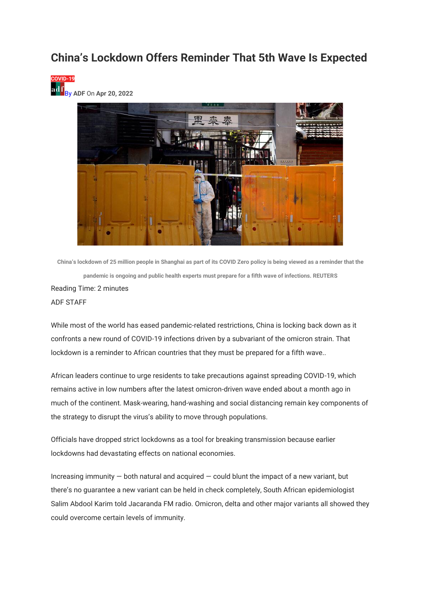## **China's Lockdown Offers Reminder That 5th Wave Is Expected**





**China's lockdown of 25 million people in Shanghai as part of its COVID Zero policy is being viewed as a reminder that the pandemic is ongoing and public health experts must prepare for a fifth wave of infections. REUTERS** Reading Time: 2 minutes ADF STAFF

While most of the world has eased pandemic-related restrictions, China is locking back down as it confronts a new round of COVID-19 infections driven by a subvariant of the omicron strain. That lockdown is a reminder to African countries that they must be prepared for a fifth wave..

African leaders continue to urge residents to take precautions against spreading COVID-19, which remains active in low numbers after the latest omicron-driven wave ended about a month ago in much of the continent. Mask-wearing, hand-washing and social distancing remain key components of the strategy to disrupt the virus's ability to move through populations.

Officials have dropped strict lockdowns as a tool for breaking transmission because earlier lockdowns had devastating effects on national economies.

Increasing immunity  $-$  both natural and acquired  $-$  could blunt the impact of a new variant, but there's no guarantee a new variant can be held in check completely, South African epidemiologist Salim Abdool Karim told Jacaranda FM radio. Omicron, delta and other major variants all showed they could overcome certain levels of immunity.